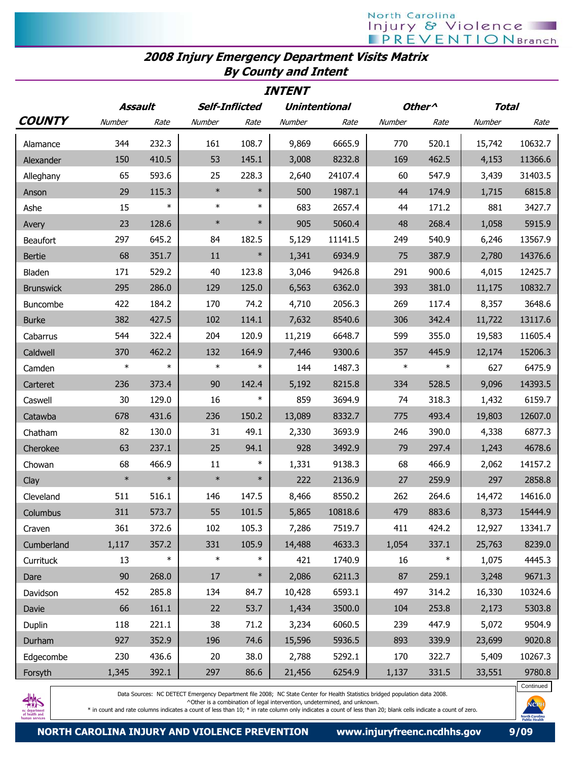## North Carolina Injury & Violence **PREVENTION** Branch

## 2008 Injury Emergency Department Visits Matrix By County and Intent

| <b>INTENT</b>    |         |        |                |        |                      |         |                    |        |              |         |
|------------------|---------|--------|----------------|--------|----------------------|---------|--------------------|--------|--------------|---------|
|                  | Assault |        | Self-Inflicted |        | <b>Unintentional</b> |         | Other <sup>^</sup> |        | <b>Total</b> |         |
| <b>COUNTY</b>    | Number  | Rate   | Number         | Rate   | Number               | Rate    | Number             | Rate   | Number       | Rate    |
| Alamance         | 344     | 232.3  | 161            | 108.7  | 9,869                | 6665.9  | 770                | 520.1  | 15,742       | 10632.7 |
| Alexander        | 150     | 410.5  | 53             | 145.1  | 3,008                | 8232.8  | 169                | 462.5  | 4,153        | 11366.6 |
| Alleghany        | 65      | 593.6  | 25             | 228.3  | 2,640                | 24107.4 | 60                 | 547.9  | 3,439        | 31403.5 |
| Anson            | 29      | 115.3  | $\ast$         | $\ast$ | 500                  | 1987.1  | 44                 | 174.9  | 1,715        | 6815.8  |
| Ashe             | 15      | $\ast$ | $\ast$         | $\ast$ | 683                  | 2657.4  | 44                 | 171.2  | 881          | 3427.7  |
| Avery            | 23      | 128.6  | $\ast$         | $\ast$ | 905                  | 5060.4  | 48                 | 268.4  | 1,058        | 5915.9  |
| Beaufort         | 297     | 645.2  | 84             | 182.5  | 5,129                | 11141.5 | 249                | 540.9  | 6,246        | 13567.9 |
| <b>Bertie</b>    | 68      | 351.7  | 11             | $\ast$ | 1,341                | 6934.9  | 75                 | 387.9  | 2,780        | 14376.6 |
| Bladen           | 171     | 529.2  | 40             | 123.8  | 3,046                | 9426.8  | 291                | 900.6  | 4,015        | 12425.7 |
| <b>Brunswick</b> | 295     | 286.0  | 129            | 125.0  | 6,563                | 6362.0  | 393                | 381.0  | 11,175       | 10832.7 |
| Buncombe         | 422     | 184.2  | 170            | 74.2   | 4,710                | 2056.3  | 269                | 117.4  | 8,357        | 3648.6  |
| <b>Burke</b>     | 382     | 427.5  | 102            | 114.1  | 7,632                | 8540.6  | 306                | 342.4  | 11,722       | 13117.6 |
| Cabarrus         | 544     | 322.4  | 204            | 120.9  | 11,219               | 6648.7  | 599                | 355.0  | 19,583       | 11605.4 |
| Caldwell         | 370     | 462.2  | 132            | 164.9  | 7,446                | 9300.6  | 357                | 445.9  | 12,174       | 15206.3 |
| Camden           | $\ast$  | $\ast$ | $\ast$         | $\ast$ | 144                  | 1487.3  | $\ast$             | $\ast$ | 627          | 6475.9  |
| Carteret         | 236     | 373.4  | 90             | 142.4  | 5,192                | 8215.8  | 334                | 528.5  | 9,096        | 14393.5 |
| Caswell          | 30      | 129.0  | 16             | $\ast$ | 859                  | 3694.9  | 74                 | 318.3  | 1,432        | 6159.7  |
| Catawba          | 678     | 431.6  | 236            | 150.2  | 13,089               | 8332.7  | 775                | 493.4  | 19,803       | 12607.0 |
| Chatham          | 82      | 130.0  | 31             | 49.1   | 2,330                | 3693.9  | 246                | 390.0  | 4,338        | 6877.3  |
| Cherokee         | 63      | 237.1  | 25             | 94.1   | 928                  | 3492.9  | 79                 | 297.4  | 1,243        | 4678.6  |
| Chowan           | 68      | 466.9  | 11             | $\ast$ | 1,331                | 9138.3  | 68                 | 466.9  | 2,062        | 14157.2 |
| Clay             | $\ast$  | $\ast$ | $\ast$         | $\ast$ | 222                  | 2136.9  | 27                 | 259.9  | 297          | 2858.8  |
| Cleveland        | 511     | 516.1  | 146            | 147.5  | 8,466                | 8550.2  | 262                | 264.6  | 14,472       | 14616.0 |
| Columbus         | 311     | 573.7  | 55             | 101.5  | 5,865                | 10818.6 | 479                | 883.6  | 8,373        | 15444.9 |
| Craven           | 361     | 372.6  | 102            | 105.3  | 7,286                | 7519.7  | 411                | 424.2  | 12,927       | 13341.7 |
| Cumberland       | 1,117   | 357.2  | 331            | 105.9  | 14,488               | 4633.3  | 1,054              | 337.1  | 25,763       | 8239.0  |
| Currituck        | 13      | $\ast$ | $\ast$         | $\ast$ | 421                  | 1740.9  | 16                 | $\ast$ | 1,075        | 4445.3  |
| Dare             | 90      | 268.0  | 17             | $\ast$ | 2,086                | 6211.3  | 87                 | 259.1  | 3,248        | 9671.3  |
| Davidson         | 452     | 285.8  | 134            | 84.7   | 10,428               | 6593.1  | 497                | 314.2  | 16,330       | 10324.6 |
| Davie            | 66      | 161.1  | 22             | 53.7   | 1,434                | 3500.0  | 104                | 253.8  | 2,173        | 5303.8  |
| Duplin           | 118     | 221.1  | 38             | 71.2   | 3,234                | 6060.5  | 239                | 447.9  | 5,072        | 9504.9  |
| Durham           | 927     | 352.9  | 196            | 74.6   | 15,596               | 5936.5  | 893                | 339.9  | 23,699       | 9020.8  |
| Edgecombe        | 230     | 436.6  | 20             | 38.0   | 2,788                | 5292.1  | 170                | 322.7  | 5,409        | 10267.3 |
| Forsyth          | 1,345   | 392.1  | 297            | 86.6   | 21,456               | 6254.9  | 1,137              | 331.5  | 33,551       | 9780.8  |



Data Sources: NC DETECT Emergency Department file 2008; NC State Center for Health Statistics bridged population data 2008.

^Other is a combination of legal intervention, undetermined, and unknown.

\* in count and rate columns indicates a count of less than 10; \* in rate column only indicates a count of less than 20; blank cells indicate a count of zero.

Continued

NCF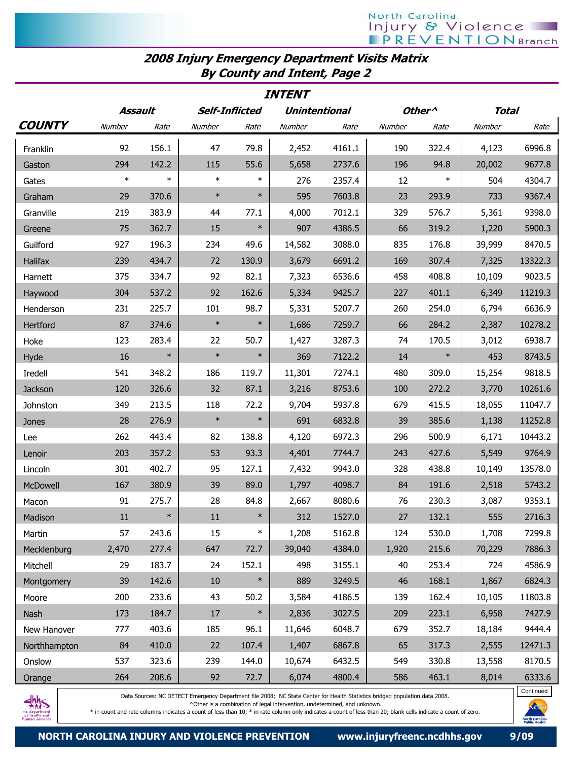## 2008 Injury Emergency Department Visits Matrix By County and Intent, Page 2

| <b>INTENT</b> |        |                                                          |        |        |        |                    |              |        |        |         |
|---------------|--------|----------------------------------------------------------|--------|--------|--------|--------------------|--------------|--------|--------|---------|
|               |        | Assault<br><b>Self-Inflicted</b><br><b>Unintentional</b> |        |        |        | Other <sup>^</sup> | <b>Total</b> |        |        |         |
| <b>COUNTY</b> | Number | Rate                                                     | Number | Rate   | Number | Rate               | Number       | Rate   | Number | Rate    |
| Franklin      | 92     | 156.1                                                    | 47     | 79.8   | 2,452  | 4161.1             | 190          | 322.4  | 4,123  | 6996.8  |
| Gaston        | 294    | 142.2                                                    | 115    | 55.6   | 5,658  | 2737.6             | 196          | 94.8   | 20,002 | 9677.8  |
| Gates         | $\ast$ | $\ast$                                                   | $\ast$ | $\ast$ | 276    | 2357.4             | 12           | $\ast$ | 504    | 4304.7  |
| Graham        | 29     | 370.6                                                    | $\ast$ | $\ast$ | 595    | 7603.8             | 23           | 293.9  | 733    | 9367.4  |
| Granville     | 219    | 383.9                                                    | 44     | 77.1   | 4,000  | 7012.1             | 329          | 576.7  | 5,361  | 9398.0  |
| Greene        | 75     | 362.7                                                    | 15     | $\ast$ | 907    | 4386.5             | 66           | 319.2  | 1,220  | 5900.3  |
| Guilford      | 927    | 196.3                                                    | 234    | 49.6   | 14,582 | 3088.0             | 835          | 176.8  | 39,999 | 8470.5  |
| Halifax       | 239    | 434.7                                                    | 72     | 130.9  | 3,679  | 6691.2             | 169          | 307.4  | 7,325  | 13322.3 |
| Harnett       | 375    | 334.7                                                    | 92     | 82.1   | 7,323  | 6536.6             | 458          | 408.8  | 10,109 | 9023.5  |
| Haywood       | 304    | 537.2                                                    | 92     | 162.6  | 5,334  | 9425.7             | 227          | 401.1  | 6,349  | 11219.3 |
| Henderson     | 231    | 225.7                                                    | 101    | 98.7   | 5,331  | 5207.7             | 260          | 254.0  | 6,794  | 6636.9  |
| Hertford      | 87     | 374.6                                                    | $\ast$ | $\ast$ | 1,686  | 7259.7             | 66           | 284.2  | 2,387  | 10278.2 |
| Hoke          | 123    | 283.4                                                    | 22     | 50.7   | 1,427  | 3287.3             | 74           | 170.5  | 3,012  | 6938.7  |
| Hyde          | 16     | $\ast$                                                   | $\ast$ | $\ast$ | 369    | 7122.2             | 14           | $\ast$ | 453    | 8743.5  |
| Iredell       | 541    | 348.2                                                    | 186    | 119.7  | 11,301 | 7274.1             | 480          | 309.0  | 15,254 | 9818.5  |
| Jackson       | 120    | 326.6                                                    | 32     | 87.1   | 3,216  | 8753.6             | 100          | 272.2  | 3,770  | 10261.6 |
| Johnston      | 349    | 213.5                                                    | 118    | 72.2   | 9,704  | 5937.8             | 679          | 415.5  | 18,055 | 11047.7 |
| Jones         | 28     | 276.9                                                    | $\ast$ | $\ast$ | 691    | 6832.8             | 39           | 385.6  | 1,138  | 11252.8 |
| Lee           | 262    | 443.4                                                    | 82     | 138.8  | 4,120  | 6972.3             | 296          | 500.9  | 6,171  | 10443.2 |
| Lenoir        | 203    | 357.2                                                    | 53     | 93.3   | 4,401  | 7744.7             | 243          | 427.6  | 5,549  | 9764.9  |
| Lincoln       | 301    | 402.7                                                    | 95     | 127.1  | 7,432  | 9943.0             | 328          | 438.8  | 10,149 | 13578.0 |
| McDowell      | 167    | 380.9                                                    | 39     | 89.0   | 1,797  | 4098.7             | 84           | 191.6  | 2,518  | 5743.2  |
| Macon         | 91     | 275.7                                                    | 28     | 84.8   | 2,667  | 8080.6             | 76           | 230.3  | 3,087  | 9353.1  |
| Madison       | $11\,$ | $\ast$                                                   | 11     | $\ast$ | 312    | 1527.0             | $27\,$       | 132.1  | 555    | 2716.3  |
| Martin        | 57     | 243.6                                                    | 15     | $\ast$ | 1,208  | 5162.8             | 124          | 530.0  | 1,708  | 7299.8  |
| Mecklenburg   | 2,470  | 277.4                                                    | 647    | 72.7   | 39,040 | 4384.0             | 1,920        | 215.6  | 70,229 | 7886.3  |
| Mitchell      | 29     | 183.7                                                    | 24     | 152.1  | 498    | 3155.1             | 40           | 253.4  | 724    | 4586.9  |
| Montgomery    | 39     | 142.6                                                    | 10     | $\ast$ | 889    | 3249.5             | 46           | 168.1  | 1,867  | 6824.3  |
| Moore         | 200    | 233.6                                                    | 43     | 50.2   | 3,584  | 4186.5             | 139          | 162.4  | 10,105 | 11803.8 |
| Nash          | 173    | 184.7                                                    | 17     | $\ast$ | 2,836  | 3027.5             | 209          | 223.1  | 6,958  | 7427.9  |
| New Hanover   | 777    | 403.6                                                    | 185    | 96.1   | 11,646 | 6048.7             | 679          | 352.7  | 18,184 | 9444.4  |
| Northhampton  | 84     | 410.0                                                    | 22     | 107.4  | 1,407  | 6867.8             | 65           | 317.3  | 2,555  | 12471.3 |
| Onslow        | 537    | 323.6                                                    | 239    | 144.0  | 10,674 | 6432.5             | 549          | 330.8  | 13,558 | 8170.5  |
| Orange        | 264    | 208.6                                                    | 92     | 72.7   | 6,074  | 4800.4             | 586          | 463.1  | 8,014  | 6333.6  |



Data Sources: NC DETECT Emergency Department file 2008; NC State Center for Health Statistics bridged population data 2008.

^Other is a combination of legal intervention, undetermined, and unknown.

\* in count and rate columns indicates a count of less than 10; \* in rate column only indicates a count of less than 20; blank cells indicate a count of zero.